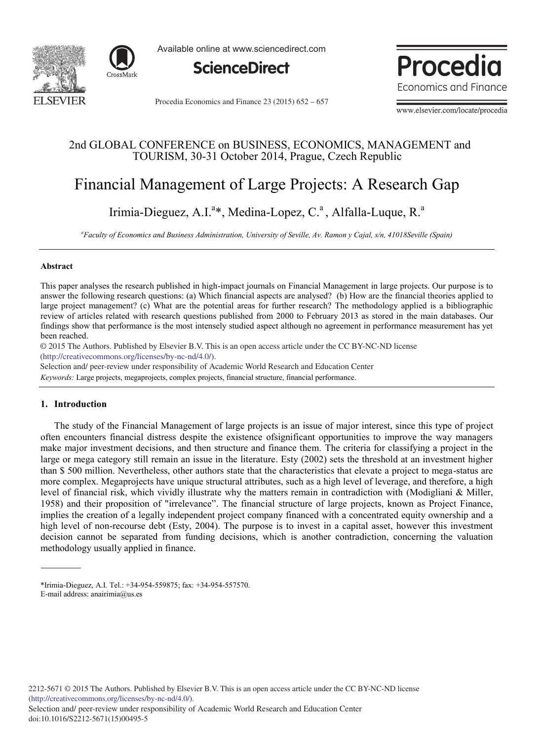



Available online at www.sciencedirect.com



Procedia Economics and Finance  $23(2015)$   $652 - 657$ 



www.elsevier.com/locate/procedia

### 2nd GLOBAL CONFERENCE on BUSINESS, ECONOMICS, MANAGEMENT and TOURISM, 30-31 October 2014, Prague, Czech Republic

# Financial Management of Large Projects: A Research Gap

Irimia-Dieguez, A.I.<sup>a\*</sup>, Medina-Lopez, C.<sup>a</sup>, Alfalla-Luque, R.<sup>a</sup>

*a Faculty of Economics and Business Administration, University of Seville, Av. Ramon y Cajal, s/n, 41018Seville (Spain)*

#### **Abstract**

This paper analyses the research published in high-impact journals on Financial Management in large projects. Our purpose is to answer the following research questions: (a) Which financial aspects are analysed? (b) How are the financial theories applied to large project management? (c) What are the potential areas for further research? The methodology applied is a bibliographic review of articles related with research questions published from 2000 to February 2013 as stored in the main databases. Our findings show that performance is the most intensely studied aspect although no agreement in performance measurement has yet been reached.

© 2014 The Authors. Published by Elsevier B.V. © 2015 The Authors. Published by Elsevier B.V. This is an open access article under the CC BY-NC-ND license (http://creativecommons.org/licenses/by-nc-nd/4.0/).

*Keywords:* Large projects, megaprojects, complex projects, financial structure, financial performance. Selection and/ peer-review under responsibility of Academic World Research and Education Center

## **1. Introduction**

The study of the Financial Management of large projects is an issue of major interest, since this type of project often encounters financial distress despite the existence ofsignificant opportunities to improve the way managers make major investment decisions, and then structure and finance them. The criteria for classifying a project in the large or mega category still remain an issue in the literature. Esty (2002) sets the threshold at an investment higher than \$ 500 million. Nevertheless, other authors state that the characteristics that elevate a project to mega-status are more complex. Megaprojects have unique structural attributes, such as a high level of leverage, and therefore, a high level of financial risk, which vividly illustrate why the matters remain in contradiction with (Modigliani & Miller, 1958) and their proposition of "irrelevance". The financial structure of large projects, known as Project Finance, implies the creation of a legally independent project company financed with a concentrated equity ownership and a high level of non-recourse debt (Esty, 2004). The purpose is to invest in a capital asset, however this investment decision cannot be separated from funding decisions, which is another contradiction, concerning the valuation methodology usually applied in finance.

2212-5671 © 2015 The Authors. Published by Elsevier B.V. This is an open access article under the CC BY-NC-ND license (http://creativecommons.org/licenses/by-nc-nd/4.0/).

<sup>\*</sup>Irimia-Dieguez, A.I. Tel.: +34-954-559875; fax: +34-954-557570. E-mail address: anairimia@us.es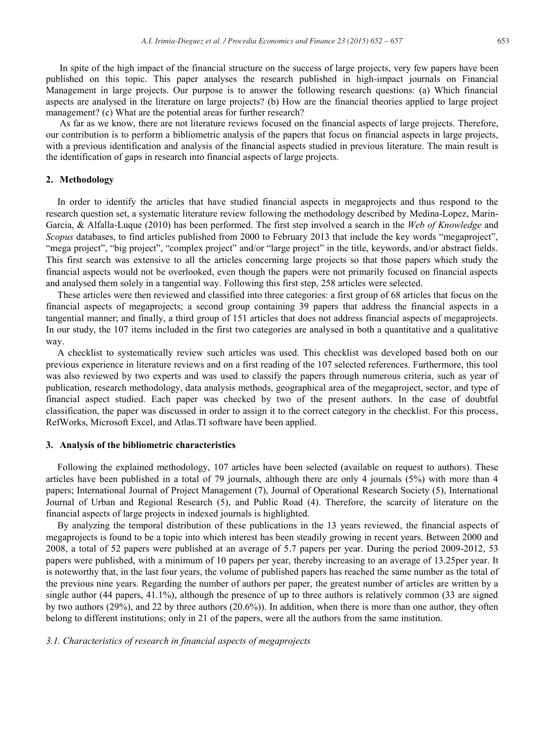In spite of the high impact of the financial structure on the success of large projects, very few papers have been published on this topic. This paper analyses the research published in high-impact journals on Financial Management in large projects. Our purpose is to answer the following research questions: (a) Which financial aspects are analysed in the literature on large projects? (b) How are the financial theories applied to large project management? (c) What are the potential areas for further research?

As far as we know, there are not literature reviews focused on the financial aspects of large projects. Therefore, our contribution is to perform a bibliometric analysis of the papers that focus on financial aspects in large projects, with a previous identification and analysis of the financial aspects studied in previous literature. The main result is the identification of gaps in research into financial aspects of large projects.

#### **2. Methodology**

In order to identify the articles that have studied financial aspects in megaprojects and thus respond to the research question set, a systematic literature review following the methodology described by Medina-Lopez, Marin-Garcia, & Alfalla-Luque (2010) has been performed. The first step involved a search in the *Web of Knowledge* and *Scopus* databases, to find articles published from 2000 to February 2013 that include the key words "megaproject", "mega project", "big project", "complex project" and/or "large project" in the title, keywords, and/or abstract fields. This first search was extensive to all the articles concerning large projects so that those papers which study the financial aspects would not be overlooked, even though the papers were not primarily focused on financial aspects and analysed them solely in a tangential way. Following this first step, 258 articles were selected.

These articles were then reviewed and classified into three categories: a first group of 68 articles that focus on the financial aspects of megaprojects; a second group containing 39 papers that address the financial aspects in a tangential manner; and finally, a third group of 151 articles that does not address financial aspects of megaprojects. In our study, the 107 items included in the first two categories are analysed in both a quantitative and a qualitative way.

A checklist to systematically review such articles was used. This checklist was developed based both on our previous experience in literature reviews and on a first reading of the 107 selected references. Furthermore, this tool was also reviewed by two experts and was used to classify the papers through numerous criteria, such as year of publication, research methodology, data analysis methods, geographical area of the megaproject, sector, and type of financial aspect studied. Each paper was checked by two of the present authors. In the case of doubtful classification, the paper was discussed in order to assign it to the correct category in the checklist. For this process, RefWorks, Microsoft Excel, and Atlas.TI software have been applied.

#### **3. Analysis of the bibliometric characteristics**

Following the explained methodology, 107 articles have been selected (available on request to authors). These articles have been published in a total of 79 journals, although there are only 4 journals (5%) with more than 4 papers; International Journal of Project Management (7), Journal of Operational Research Society (5), International Journal of Urban and Regional Research (5), and Public Road (4). Therefore, the scarcity of literature on the financial aspects of large projects in indexed journals is highlighted.

By analyzing the temporal distribution of these publications in the 13 years reviewed, the financial aspects of megaprojects is found to be a topic into which interest has been steadily growing in recent years. Between 2000 and 2008, a total of 52 papers were published at an average of 5.7 papers per year. During the period 2009-2012, 53 papers were published, with a minimum of 10 papers per year, thereby increasing to an average of 13.25per year. It is noteworthy that, in the last four years, the volume of published papers has reached the same number as the total of the previous nine years. Regarding the number of authors per paper, the greatest number of articles are written by a single author (44 papers, 41.1%), although the presence of up to three authors is relatively common (33 are signed by two authors (29%), and 22 by three authors (20.6%)). In addition, when there is more than one author, they often belong to different institutions; only in 21 of the papers, were all the authors from the same institution.

#### *3.1. Characteristics of research in financial aspects of megaprojects*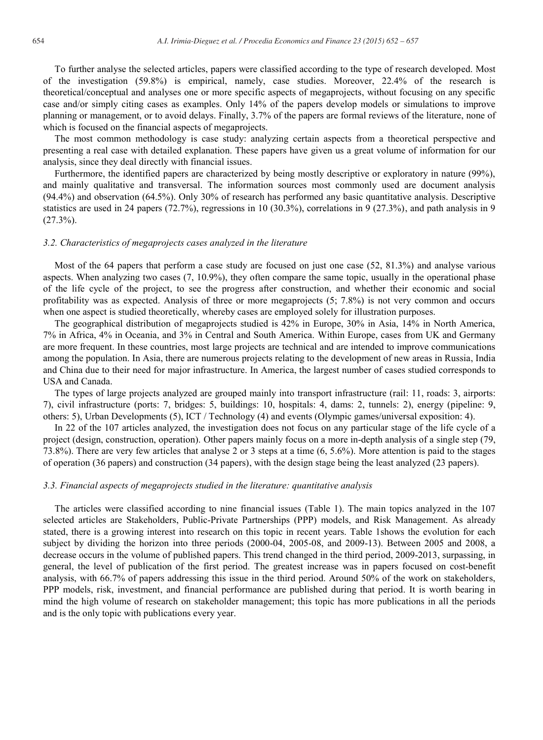To further analyse the selected articles, papers were classified according to the type of research developed. Most of the investigation (59.8%) is empirical, namely, case studies. Moreover, 22.4% of the research is theoretical/conceptual and analyses one or more specific aspects of megaprojects, without focusing on any specific case and/or simply citing cases as examples. Only 14% of the papers develop models or simulations to improve planning or management, or to avoid delays. Finally, 3.7% of the papers are formal reviews of the literature, none of which is focused on the financial aspects of megaprojects.

The most common methodology is case study: analyzing certain aspects from a theoretical perspective and presenting a real case with detailed explanation. These papers have given us a great volume of information for our analysis, since they deal directly with financial issues.

Furthermore, the identified papers are characterized by being mostly descriptive or exploratory in nature (99%), and mainly qualitative and transversal. The information sources most commonly used are document analysis (94.4%) and observation (64.5%). Only 30% of research has performed any basic quantitative analysis. Descriptive statistics are used in 24 papers (72.7%), regressions in 10 (30.3%), correlations in 9 (27.3%), and path analysis in 9  $(27.3\%)$ .

#### *3.2. Characteristics of megaprojects cases analyzed in the literature*

Most of the 64 papers that perform a case study are focused on just one case (52, 81.3%) and analyse various aspects. When analyzing two cases (7, 10.9%), they often compare the same topic, usually in the operational phase of the life cycle of the project, to see the progress after construction, and whether their economic and social profitability was as expected. Analysis of three or more megaprojects (5; 7.8%) is not very common and occurs when one aspect is studied theoretically, whereby cases are employed solely for illustration purposes.

The geographical distribution of megaprojects studied is 42% in Europe, 30% in Asia, 14% in North America, 7% in Africa, 4% in Oceania, and 3% in Central and South America. Within Europe, cases from UK and Germany are more frequent. In these countries, most large projects are technical and are intended to improve communications among the population. In Asia, there are numerous projects relating to the development of new areas in Russia, India and China due to their need for major infrastructure. In America, the largest number of cases studied corresponds to USA and Canada.

The types of large projects analyzed are grouped mainly into transport infrastructure (rail: 11, roads: 3, airports: 7), civil infrastructure (ports: 7, bridges: 5, buildings: 10, hospitals: 4, dams: 2, tunnels: 2), energy (pipeline: 9, others: 5), Urban Developments (5), ICT / Technology (4) and events (Olympic games/universal exposition: 4).

In 22 of the 107 articles analyzed, the investigation does not focus on any particular stage of the life cycle of a project (design, construction, operation). Other papers mainly focus on a more in-depth analysis of a single step (79, 73.8%). There are very few articles that analyse 2 or 3 steps at a time (6, 5.6%). More attention is paid to the stages of operation (36 papers) and construction (34 papers), with the design stage being the least analyzed (23 papers).

#### *3.3. Financial aspects of megaprojects studied in the literature: quantitative analysis*

The articles were classified according to nine financial issues (Table 1). The main topics analyzed in the 107 selected articles are Stakeholders, Public-Private Partnerships (PPP) models, and Risk Management. As already stated, there is a growing interest into research on this topic in recent years. Table 1shows the evolution for each subject by dividing the horizon into three periods (2000-04, 2005-08, and 2009-13). Between 2005 and 2008, a decrease occurs in the volume of published papers. This trend changed in the third period, 2009-2013, surpassing, in general, the level of publication of the first period. The greatest increase was in papers focused on cost-benefit analysis, with 66.7% of papers addressing this issue in the third period. Around 50% of the work on stakeholders, PPP models, risk, investment, and financial performance are published during that period. It is worth bearing in mind the high volume of research on stakeholder management; this topic has more publications in all the periods and is the only topic with publications every year.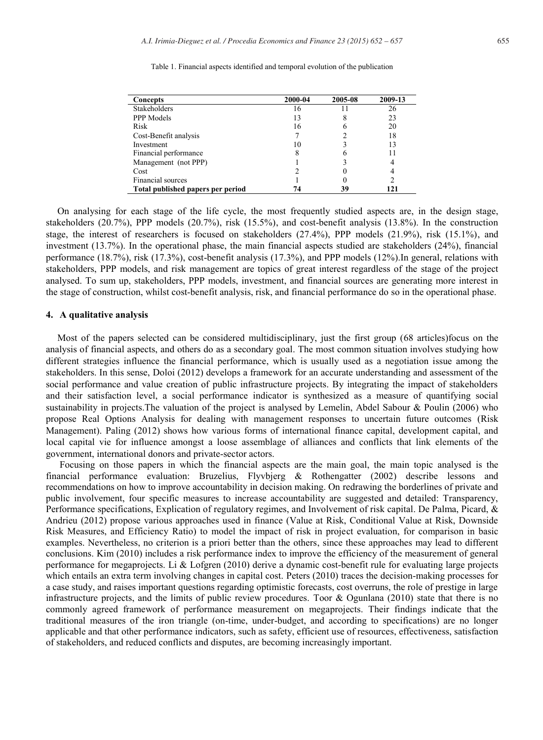| Concepts                          | 2000-04 | 2005-08 | 2009-13 |
|-----------------------------------|---------|---------|---------|
| Stakeholders                      | 16      |         | 26      |
| <b>PPP</b> Models                 | 13      | Λ       | 23      |
| Risk                              | 16      |         | 20      |
| Cost-Benefit analysis             |         |         | 18      |
| Investment                        | 10      |         | 13      |
| Financial performance             |         |         |         |
| Management (not PPP)              |         |         |         |
| Cost                              |         |         |         |
| Financial sources                 |         |         |         |
| Total published papers per period | 74      | 39      | 121     |

Table 1. Financial aspects identified and temporal evolution of the publication

On analysing for each stage of the life cycle, the most frequently studied aspects are, in the design stage, stakeholders (20.7%), PPP models (20.7%), risk (15.5%), and cost-benefit analysis (13.8%). In the construction stage, the interest of researchers is focused on stakeholders (27.4%), PPP models (21.9%), risk (15.1%), and investment (13.7%). In the operational phase, the main financial aspects studied are stakeholders (24%), financial performance (18.7%), risk (17.3%), cost-benefit analysis (17.3%), and PPP models (12%).In general, relations with stakeholders, PPP models, and risk management are topics of great interest regardless of the stage of the project analysed. To sum up, stakeholders, PPP models, investment, and financial sources are generating more interest in the stage of construction, whilst cost-benefit analysis, risk, and financial performance do so in the operational phase.

#### **4. A qualitative analysis**

Most of the papers selected can be considered multidisciplinary, just the first group (68 articles)focus on the analysis of financial aspects, and others do as a secondary goal. The most common situation involves studying how different strategies influence the financial performance, which is usually used as a negotiation issue among the stakeholders. In this sense, Doloi (2012) develops a framework for an accurate understanding and assessment of the social performance and value creation of public infrastructure projects. By integrating the impact of stakeholders and their satisfaction level, a social performance indicator is synthesized as a measure of quantifying social sustainability in projects.The valuation of the project is analysed by Lemelin, Abdel Sabour & Poulin (2006) who propose Real Options Analysis for dealing with management responses to uncertain future outcomes (Risk Management). Paling (2012) shows how various forms of international finance capital, development capital, and local capital vie for influence amongst a loose assemblage of alliances and conflicts that link elements of the government, international donors and private-sector actors.

Focusing on those papers in which the financial aspects are the main goal, the main topic analysed is the financial performance evaluation: Bruzelius, Flyvbjerg & Rothengatter (2002) describe lessons and recommendations on how to improve accountability in decision making. On redrawing the borderlines of private and public involvement, four specific measures to increase accountability are suggested and detailed: Transparency, Performance specifications, Explication of regulatory regimes, and Involvement of risk capital. De Palma, Picard, & Andrieu (2012) propose various approaches used in finance (Value at Risk, Conditional Value at Risk, Downside Risk Measures, and Efficiency Ratio) to model the impact of risk in project evaluation, for comparison in basic examples. Nevertheless, no criterion is a priori better than the others, since these approaches may lead to different conclusions. Kim (2010) includes a risk performance index to improve the efficiency of the measurement of general performance for megaprojects. Li & Lofgren (2010) derive a dynamic cost-benefit rule for evaluating large projects which entails an extra term involving changes in capital cost. Peters (2010) traces the decision-making processes for a case study, and raises important questions regarding optimistic forecasts, cost overruns, the role of prestige in large infrastructure projects, and the limits of public review procedures. Toor & Ogunlana (2010) state that there is no commonly agreed framework of performance measurement on megaprojects. Their findings indicate that the traditional measures of the iron triangle (on-time, under-budget, and according to specifications) are no longer applicable and that other performance indicators, such as safety, efficient use of resources, effectiveness, satisfaction of stakeholders, and reduced conflicts and disputes, are becoming increasingly important.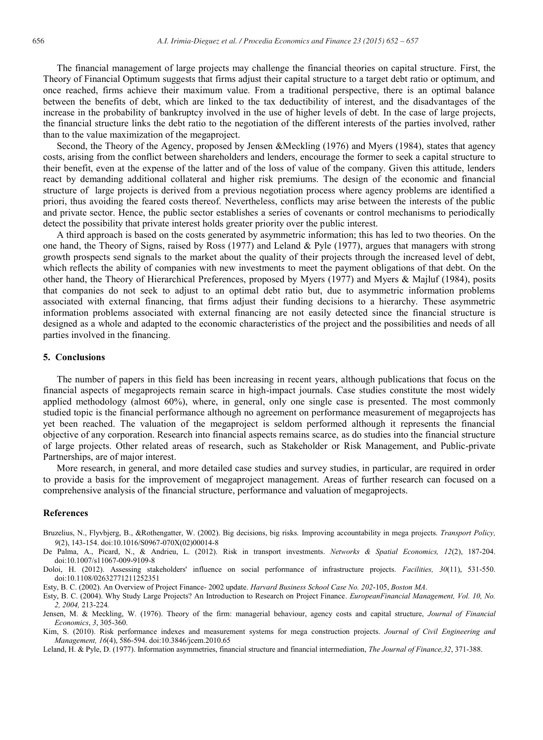The financial management of large projects may challenge the financial theories on capital structure. First, the Theory of Financial Optimum suggests that firms adjust their capital structure to a target debt ratio or optimum, and once reached, firms achieve their maximum value. From a traditional perspective, there is an optimal balance between the benefits of debt, which are linked to the tax deductibility of interest, and the disadvantages of the increase in the probability of bankruptcy involved in the use of higher levels of debt. In the case of large projects, the financial structure links the debt ratio to the negotiation of the different interests of the parties involved, rather than to the value maximization of the megaproject.

Second, the Theory of the Agency, proposed by Jensen &Meckling (1976) and Myers (1984), states that agency costs, arising from the conflict between shareholders and lenders, encourage the former to seek a capital structure to their benefit, even at the expense of the latter and of the loss of value of the company. Given this attitude, lenders react by demanding additional collateral and higher risk premiums. The design of the economic and financial structure of large projects is derived from a previous negotiation process where agency problems are identified a priori, thus avoiding the feared costs thereof. Nevertheless, conflicts may arise between the interests of the public and private sector. Hence, the public sector establishes a series of covenants or control mechanisms to periodically detect the possibility that private interest holds greater priority over the public interest.

A third approach is based on the costs generated by asymmetric information; this has led to two theories. On the one hand, the Theory of Signs, raised by Ross (1977) and Leland & Pyle (1977), argues that managers with strong growth prospects send signals to the market about the quality of their projects through the increased level of debt, which reflects the ability of companies with new investments to meet the payment obligations of that debt. On the other hand, the Theory of Hierarchical Preferences, proposed by Myers (1977) and Myers & Majluf (1984), posits that companies do not seek to adjust to an optimal debt ratio but, due to asymmetric information problems associated with external financing, that firms adjust their funding decisions to a hierarchy. These asymmetric information problems associated with external financing are not easily detected since the financial structure is designed as a whole and adapted to the economic characteristics of the project and the possibilities and needs of all parties involved in the financing.

#### **5. Conclusions**

The number of papers in this field has been increasing in recent years, although publications that focus on the financial aspects of megaprojects remain scarce in high-impact journals. Case studies constitute the most widely applied methodology (almost 60%), where, in general, only one single case is presented. The most commonly studied topic is the financial performance although no agreement on performance measurement of megaprojects has yet been reached. The valuation of the megaproject is seldom performed although it represents the financial objective of any corporation. Research into financial aspects remains scarce, as do studies into the financial structure of large projects. Other related areas of research, such as Stakeholder or Risk Management, and Public-private Partnerships, are of major interest.

More research, in general, and more detailed case studies and survey studies, in particular, are required in order to provide a basis for the improvement of megaproject management. Areas of further research can focused on a comprehensive analysis of the financial structure, performance and valuation of megaprojects.

#### **References**

Bruzelius, N., Flyvbjerg, B., &Rothengatter, W. (2002). Big decisions, big risks. Improving accountability in mega projects. *Transport Policy, 9*(2), 143-154. doi:10.1016/S0967-070X(02)00014-8

De Palma, A., Picard, N., & Andrieu, L. (2012). Risk in transport investments. *Networks & Spatial Economics, 12*(2), 187-204. doi:10.1007/s11067-009-9109-8

Doloi, H. (2012). Assessing stakeholders' influence on social performance of infrastructure projects. *Facilities, 30*(11), 531-550. doi:10.1108/02632771211252351

Esty, B. C. (2002). An Overview of Project Finance- 2002 update. *Harvard Business School Case No. 202*-105, *Boston MA*.

Esty, B. C. (2004). Why Study Large Projects? An Introduction to Research on Project Finance. *EuropeanFinancial Management, Vol. 10, No. 2, 2004,* 213-224*.*

Jensen, M. & Meckling, W. (1976). Theory of the firm: managerial behaviour, agency costs and capital structure, *Journal of Financial Economics*, *3*, 305-360.

Kim, S. (2010). Risk performance indexes and measurement systems for mega construction projects. *Journal of Civil Engineering and Management, 16*(4), 586-594. doi:10.3846/jcem.2010.65

Leland, H. & Pyle, D. (1977). Information asymmetries, financial structure and financial intermediation, *The Journal of Finance,32*, 371-388.